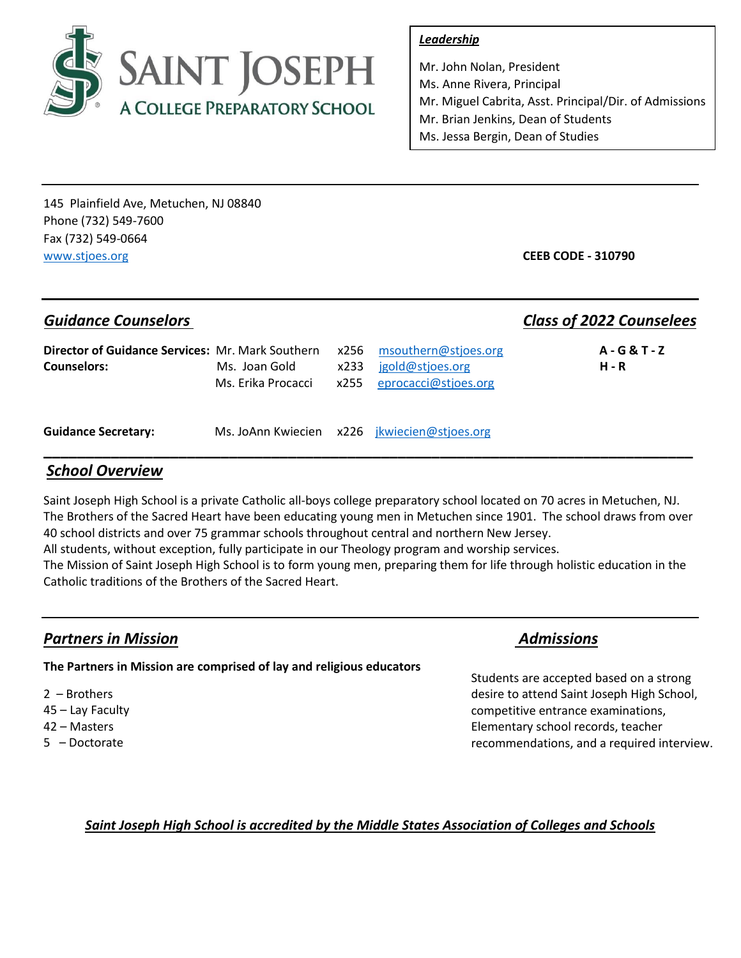

## *Leadership*

Mr. John Nolan, President Ms. Anne Rivera, Principal Mr. Miguel Cabrita, Asst. Principal/Dir. of Admissions Mr. Brian Jenkins, Dean of Students Ms. Jessa Bergin, Dean of Studies

145 Plainfield Ave, Metuchen, NJ 08840 Phone (732) 549-7600 Fax (732) 549-0664 [www.stjoes.org](http://www.stjoes.org/) **CEEB CODE - 310790**

## *Guidance Counselors Class of 2022 Counselees*

| Director of Guidance Services: Mr. Mark Southern x256 msouthern@stjoes.org | Ms. Joan Gold                                  |  | x233 igold@stjoes.org                        | A-G&T-Z      |  |
|----------------------------------------------------------------------------|------------------------------------------------|--|----------------------------------------------|--------------|--|
| <b>Counselors:</b>                                                         | Ms. Erika Procacci $x255$ eprocacci@stioes.org |  |                                              | <b>H</b> - R |  |
| <b>Guidance Secretary:</b>                                                 |                                                |  | Ms. JoAnn Kwiecien x226 jkwiecien@stjoes.org |              |  |

## *School Overview*

Saint Joseph High School is a private Catholic all-boys college preparatory school located on 70 acres in Metuchen, NJ. The Brothers of the Sacred Heart have been educating young men in Metuchen since 1901. The school draws from over 40 school districts and over 75 grammar schools throughout central and northern New Jersey.

**\_\_\_\_\_\_\_\_\_\_\_\_\_\_\_\_\_\_\_\_\_\_\_\_\_\_\_\_\_\_\_\_\_\_\_\_\_\_\_\_\_\_\_\_\_\_\_\_\_\_\_\_\_\_\_\_\_\_\_\_\_\_\_\_\_\_\_\_\_\_\_\_\_\_\_\_\_**

All students, without exception, fully participate in our Theology program and worship services.

The Mission of Saint Joseph High School is to form young men, preparing them for life through holistic education in the Catholic traditions of the Brothers of the Sacred Heart.

## **Partners in Mission Admissions Partners in Missions**

**The Partners in Mission are comprised of lay and religious educators** 

 – Brothers – Lay Faculty – Masters – Doctorate

Students are accepted based on a strong desire to attend Saint Joseph High School, competitive entrance examinations, Elementary school records, teacher recommendations, and a required interview.

## *Saint Joseph High School is accredited by the Middle States Association of Colleges and Schools*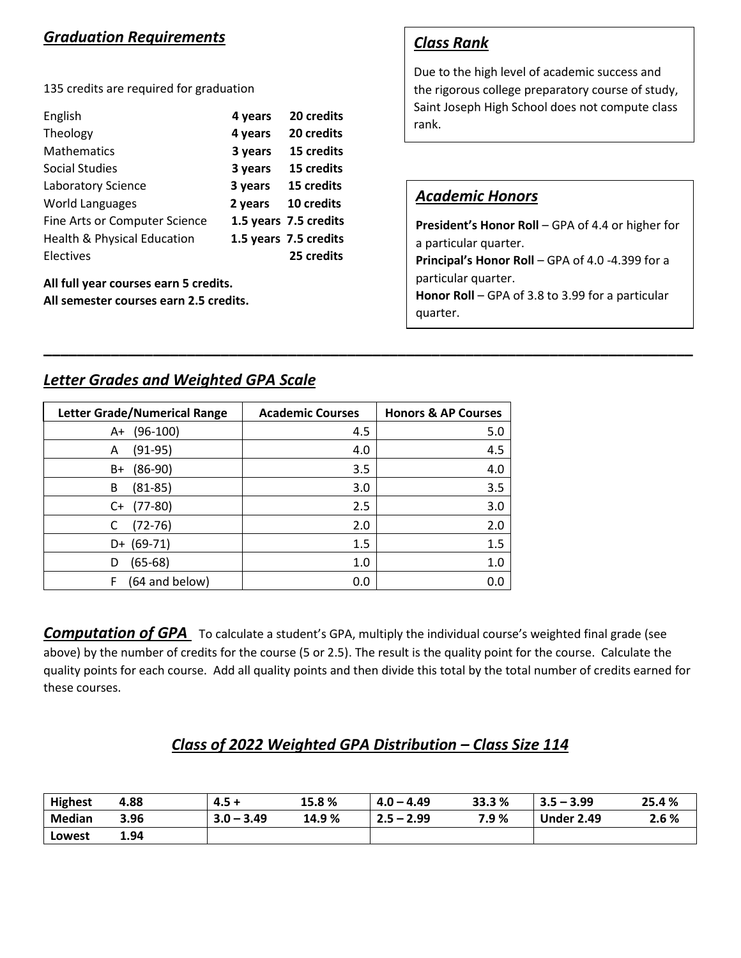# *Graduation Requirements*

135 credits are required for graduation

| English                                | 4 years | 20 credits            |
|----------------------------------------|---------|-----------------------|
| Theology                               | 4 years | 20 credits            |
| <b>Mathematics</b>                     | 3 years | 15 credits            |
| Social Studies                         | 3 years | 15 credits            |
| Laboratory Science                     | 3 years | 15 credits            |
| <b>World Languages</b>                 | 2 years | 10 credits            |
| Fine Arts or Computer Science          |         | 1.5 years 7.5 credits |
| <b>Health &amp; Physical Education</b> |         | 1.5 years 7.5 credits |
| Electives                              |         | 25 credits            |
|                                        |         |                       |

**All full year courses earn 5 credits. All semester courses earn 2.5 credits.**

# *Class Rank*

Due to the high level of academic success and the rigorous college preparatory course of study, Saint Joseph High School does not compute class rank.

## *Academic Honors*

**President's Honor Roll** – GPA of 4.4 or higher for a particular quarter.

**Principal's Honor Roll** – GPA of 4.0 -4.399 for a particular quarter.

**Honor Roll** – GPA of 3.8 to 3.99 for a particular quarter.

# *Letter Grades and Weighted GPA Scale*

| <b>Letter Grade/Numerical Range</b> | <b>Academic Courses</b> | <b>Honors &amp; AP Courses</b> |
|-------------------------------------|-------------------------|--------------------------------|
| $(96-100)$<br>A+                    | 4.5                     | 5.0                            |
| $(91-95)$<br>A                      | 4.0                     | 4.5                            |
| $(86-90)$<br>B+                     | 3.5                     | 4.0                            |
| $(81 - 85)$<br>B                    | 3.0                     | 3.5                            |
| $(77-80)$<br>C+                     | 2.5                     | 3.0                            |
| $(72-76)$                           | 2.0                     | 2.0                            |
| $D+ (69-71)$                        | 1.5                     | 1.5                            |
| $(65-68)$<br>D                      | 1.0                     | 1.0                            |
| (64 and below)                      | 0.0                     | 0.0                            |

*Computation of GPA* To calculate a student's GPA, multiply the individual course's weighted final grade (see above) by the number of credits for the course (5 or 2.5). The result is the quality point for the course. Calculate the quality points for each course. Add all quality points and then divide this total by the total number of credits earned for these courses.

**\_\_\_\_\_\_\_\_\_\_\_\_\_\_\_\_\_\_\_\_\_\_\_\_\_\_\_\_\_\_\_\_\_\_\_\_\_\_\_\_\_\_\_\_\_\_\_\_\_\_\_\_\_\_\_\_\_\_\_\_\_\_\_\_\_\_\_\_\_\_\_\_\_\_\_\_\_**

# *Class of 2022 Weighted GPA Distribution – Class Size 114*

| <b>Highest</b> | 4.88 | $4.5 +$      | 15.8%  | $4.0 - 4.49$ | 33.3 % | $3.5 - 3.99$      | 25.4 % |
|----------------|------|--------------|--------|--------------|--------|-------------------|--------|
| <b>Median</b>  | 3.96 | $3.0 - 3.49$ | 14.9 % | $2.5 - 2.99$ | 7.9%   | <b>Under 2.49</b> | 2.6 %  |
| Lowest         | 1.94 |              |        |              |        |                   |        |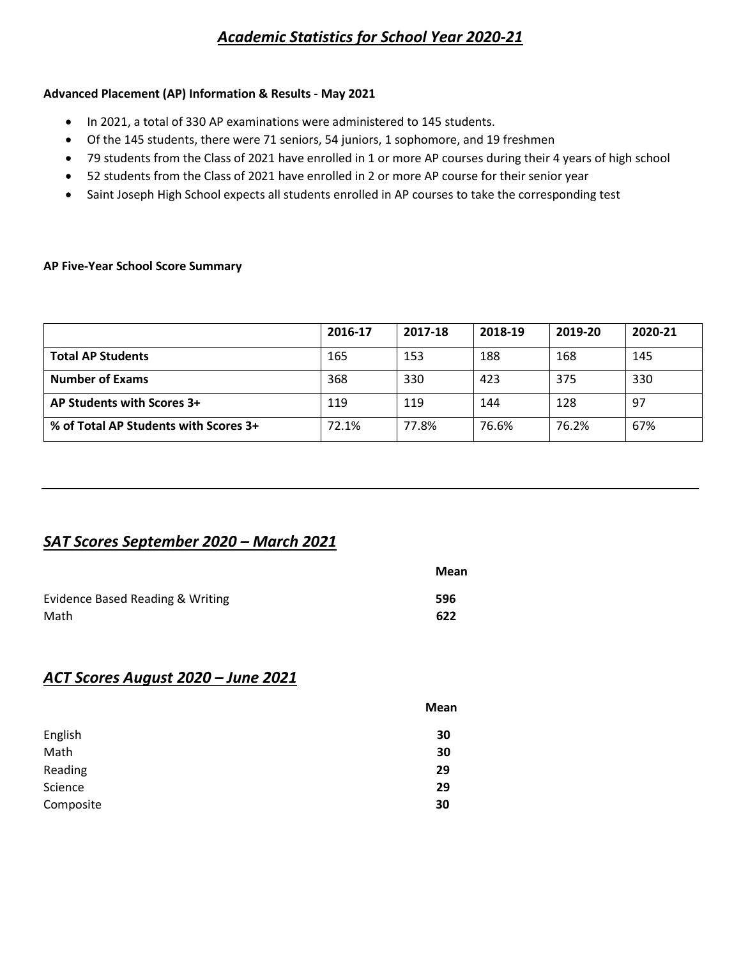# *Academic Statistics for School Year 2020-21*

## **Advanced Placement (AP) Information & Results - May 2021**

- In 2021, a total of 330 AP examinations were administered to 145 students.
- Of the 145 students, there were 71 seniors, 54 juniors, 1 sophomore, and 19 freshmen
- 79 students from the Class of 2021 have enrolled in 1 or more AP courses during their 4 years of high school
- 52 students from the Class of 2021 have enrolled in 2 or more AP course for their senior year
- Saint Joseph High School expects all students enrolled in AP courses to take the corresponding test

#### **AP Five-Year School Score Summary**

|                                       | 2016-17 | 2017-18 | 2018-19 | 2019-20 | 2020-21 |
|---------------------------------------|---------|---------|---------|---------|---------|
| <b>Total AP Students</b>              | 165     | 153     | 188     | 168     | 145     |
| <b>Number of Exams</b>                | 368     | 330     | 423     | 375     | 330     |
| AP Students with Scores 3+            | 119     | 119     | 144     | 128     | 97      |
| % of Total AP Students with Scores 3+ | 72.1%   | 77.8%   | 76.6%   | 76.2%   | 67%     |

## *SAT Scores September 2020 – March 2021*

|                                  | Mean |
|----------------------------------|------|
| Evidence Based Reading & Writing | 596  |
| Math                             | 622  |

## *ACT Scores August 2020 – June 2021*

|           | Mean |
|-----------|------|
| English   | 30   |
| Math      | 30   |
| Reading   | 29   |
| Science   | 29   |
| Composite | 30   |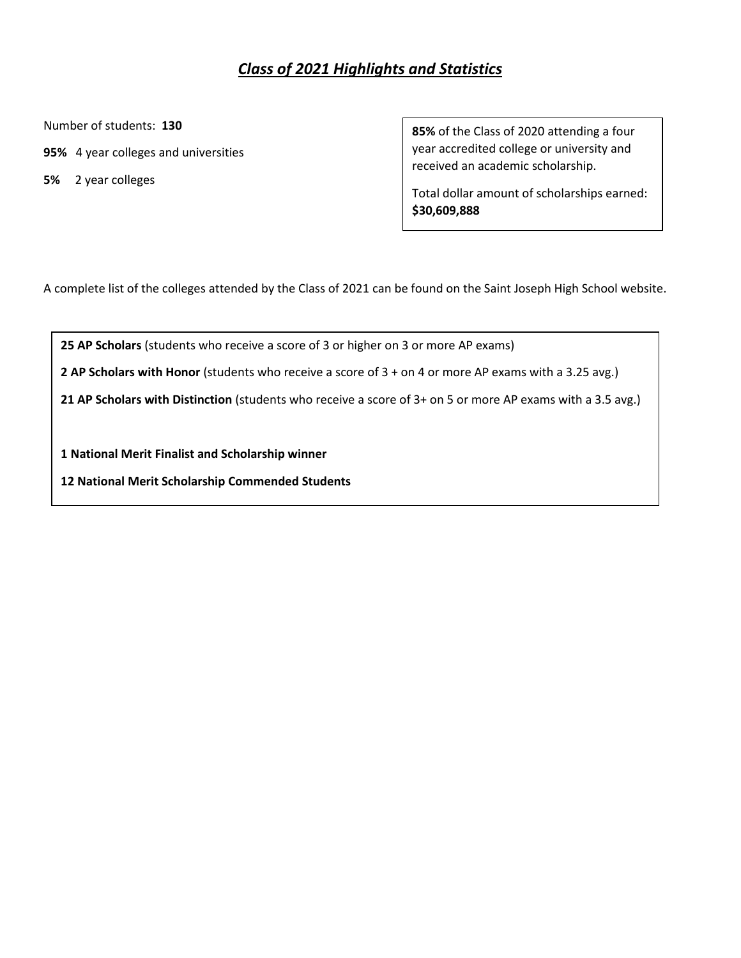# *Class of 2021 Highlights and Statistics*

Number of students: **130**

- **95%** 4 year colleges and universities
- **5%** 2 year colleges

ֺ֝

**85%** of the Class of 2020 attending a four year accredited college or university and received an academic scholarship.

Total dollar amount of scholarships earned: **\$30,609,888**

A complete list of the colleges attended by the Class of 2021 can be found on the Saint Joseph High School website.

**25 AP Scholars** (students who receive a score of 3 or higher on 3 or more AP exams)

**2 AP Scholars with Honor** (students who receive a score of 3 + on 4 or more AP exams with a 3.25 avg.)

**21 AP Scholars with Distinction** (students who receive a score of 3+ on 5 or more AP exams with a 3.5 avg.)

**1 National Merit Finalist and Scholarship winner**

**12 National Merit Scholarship Commended Students**